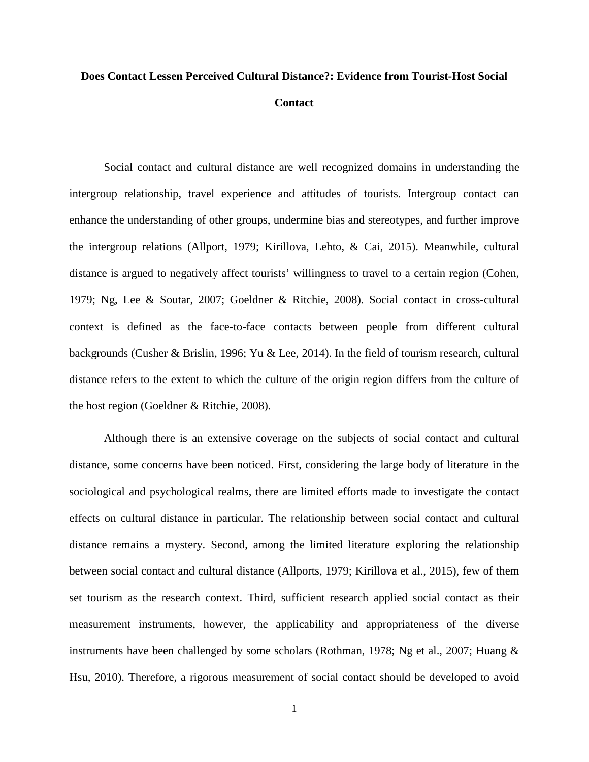## **Does Contact Lessen Perceived Cultural Distance?: Evidence from Tourist-Host Social Contact**

Social contact and cultural distance are well recognized domains in understanding the intergroup relationship, travel experience and attitudes of tourists. Intergroup contact can enhance the understanding of other groups, undermine bias and stereotypes, and further improve the intergroup relations (Allport, 1979; Kirillova, Lehto, & Cai, 2015). Meanwhile, cultural distance is argued to negatively affect tourists' willingness to travel to a certain region (Cohen, 1979; Ng, Lee & Soutar, 2007; Goeldner & Ritchie, 2008). Social contact in cross-cultural context is defined as the face-to-face contacts between people from different cultural backgrounds (Cusher & Brislin, 1996; Yu & Lee, 2014). In the field of tourism research, cultural distance refers to the extent to which the culture of the origin region differs from the culture of the host region (Goeldner & Ritchie, 2008).

Although there is an extensive coverage on the subjects of social contact and cultural distance, some concerns have been noticed. First, considering the large body of literature in the sociological and psychological realms, there are limited efforts made to investigate the contact effects on cultural distance in particular. The relationship between social contact and cultural distance remains a mystery. Second, among the limited literature exploring the relationship between social contact and cultural distance (Allports, 1979; Kirillova et al., 2015), few of them set tourism as the research context. Third, sufficient research applied social contact as their measurement instruments, however, the applicability and appropriateness of the diverse instruments have been challenged by some scholars (Rothman, 1978; Ng et al., 2007; Huang & Hsu, 2010). Therefore, a rigorous measurement of social contact should be developed to avoid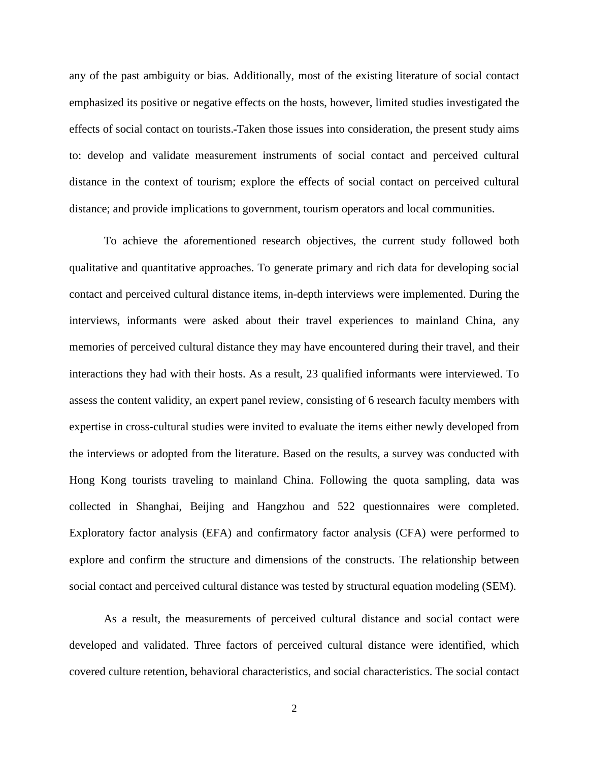any of the past ambiguity or bias. Additionally, most of the existing literature of social contact emphasized its positive or negative effects on the hosts, however, limited studies investigated the effects of social contact on tourists. Taken those issues into consideration, the present study aims to: develop and validate measurement instruments of social contact and perceived cultural distance in the context of tourism; explore the effects of social contact on perceived cultural distance; and provide implications to government, tourism operators and local communities.

To achieve the aforementioned research objectives, the current study followed both qualitative and quantitative approaches. To generate primary and rich data for developing social contact and perceived cultural distance items, in-depth interviews were implemented. During the interviews, informants were asked about their travel experiences to mainland China, any memories of perceived cultural distance they may have encountered during their travel, and their interactions they had with their hosts. As a result, 23 qualified informants were interviewed. To assess the content validity, an expert panel review, consisting of 6 research faculty members with expertise in cross-cultural studies were invited to evaluate the items either newly developed from the interviews or adopted from the literature. Based on the results, a survey was conducted with Hong Kong tourists traveling to mainland China. Following the quota sampling, data was collected in Shanghai, Beijing and Hangzhou and 522 questionnaires were completed. Exploratory factor analysis (EFA) and confirmatory factor analysis (CFA) were performed to explore and confirm the structure and dimensions of the constructs. The relationship between social contact and perceived cultural distance was tested by structural equation modeling (SEM).

As a result, the measurements of perceived cultural distance and social contact were developed and validated. Three factors of perceived cultural distance were identified, which covered culture retention, behavioral characteristics, and social characteristics. The social contact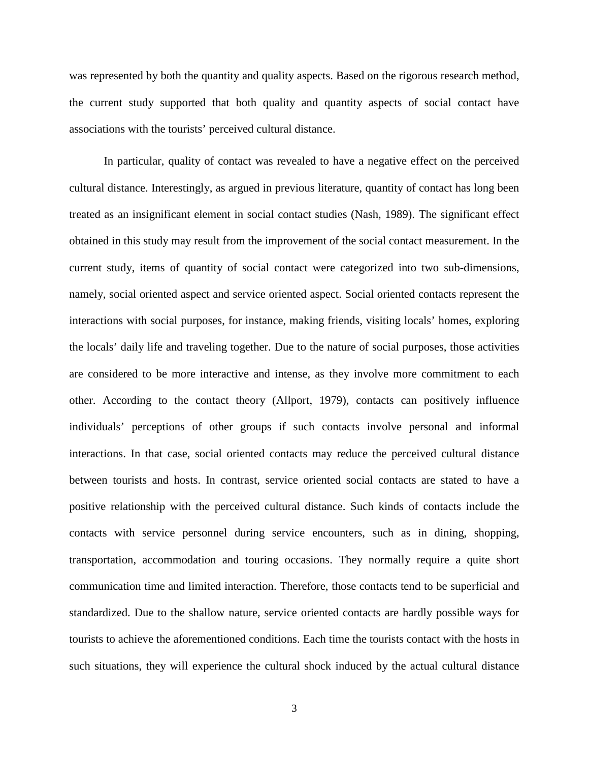was represented by both the quantity and quality aspects. Based on the rigorous research method, the current study supported that both quality and quantity aspects of social contact have associations with the tourists' perceived cultural distance.

In particular, quality of contact was revealed to have a negative effect on the perceived cultural distance. Interestingly, as argued in previous literature, quantity of contact has long been treated as an insignificant element in social contact studies (Nash, 1989). The significant effect obtained in this study may result from the improvement of the social contact measurement. In the current study, items of quantity of social contact were categorized into two sub-dimensions, namely, social oriented aspect and service oriented aspect. Social oriented contacts represent the interactions with social purposes, for instance, making friends, visiting locals' homes, exploring the locals' daily life and traveling together. Due to the nature of social purposes, those activities are considered to be more interactive and intense, as they involve more commitment to each other. According to the contact theory (Allport, 1979), contacts can positively influence individuals' perceptions of other groups if such contacts involve personal and informal interactions. In that case, social oriented contacts may reduce the perceived cultural distance between tourists and hosts. In contrast, service oriented social contacts are stated to have a positive relationship with the perceived cultural distance. Such kinds of contacts include the contacts with service personnel during service encounters, such as in dining, shopping, transportation, accommodation and touring occasions. They normally require a quite short communication time and limited interaction. Therefore, those contacts tend to be superficial and standardized. Due to the shallow nature, service oriented contacts are hardly possible ways for tourists to achieve the aforementioned conditions. Each time the tourists contact with the hosts in such situations, they will experience the cultural shock induced by the actual cultural distance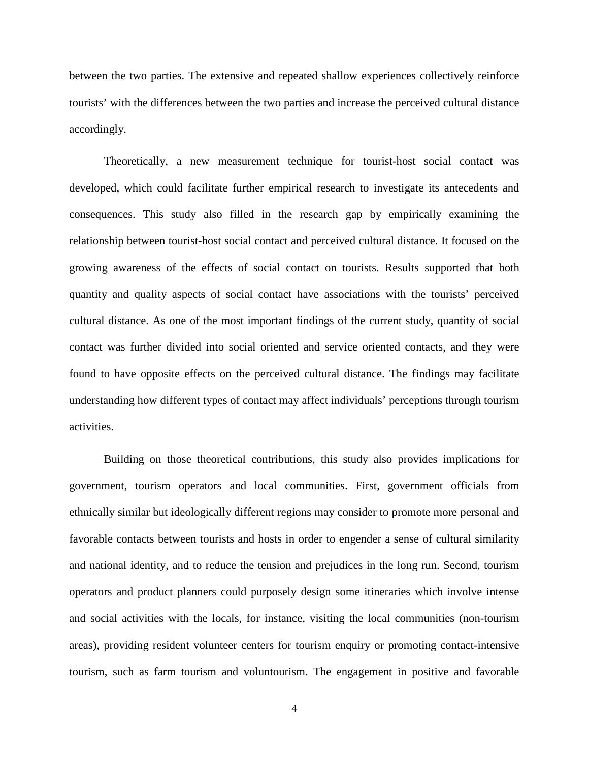between the two parties. The extensive and repeated shallow experiences collectively reinforce tourists' with the differences between the two parties and increase the perceived cultural distance accordingly.

Theoretically, a new measurement technique for tourist-host social contact was developed, which could facilitate further empirical research to investigate its antecedents and consequences. This study also filled in the research gap by empirically examining the relationship between tourist-host social contact and perceived cultural distance. It focused on the growing awareness of the effects of social contact on tourists. Results supported that both quantity and quality aspects of social contact have associations with the tourists' perceived cultural distance. As one of the most important findings of the current study, quantity of social contact was further divided into social oriented and service oriented contacts, and they were found to have opposite effects on the perceived cultural distance. The findings may facilitate understanding how different types of contact may affect individuals' perceptions through tourism activities.

Building on those theoretical contributions, this study also provides implications for government, tourism operators and local communities. First, government officials from ethnically similar but ideologically different regions may consider to promote more personal and favorable contacts between tourists and hosts in order to engender a sense of cultural similarity and national identity, and to reduce the tension and prejudices in the long run. Second, tourism operators and product planners could purposely design some itineraries which involve intense and social activities with the locals, for instance, visiting the local communities (non-tourism areas), providing resident volunteer centers for tourism enquiry or promoting contact-intensive tourism, such as farm tourism and voluntourism. The engagement in positive and favorable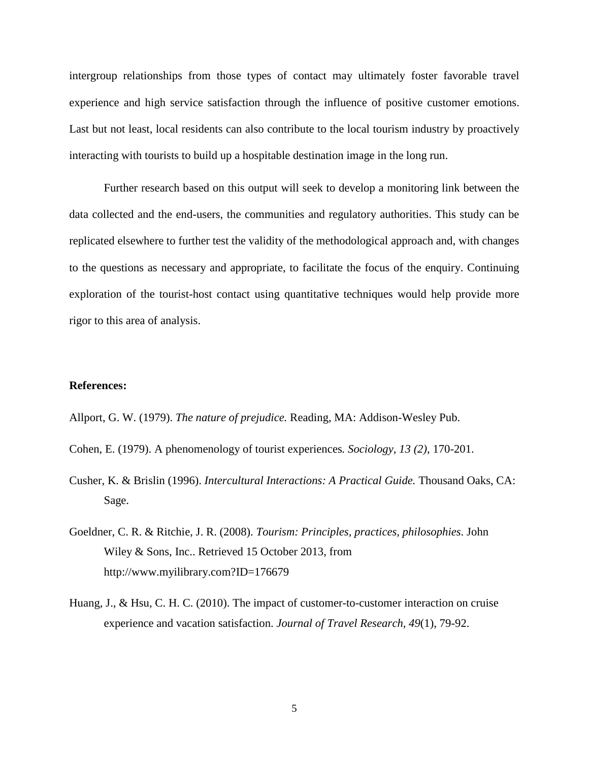intergroup relationships from those types of contact may ultimately foster favorable travel experience and high service satisfaction through the influence of positive customer emotions. Last but not least, local residents can also contribute to the local tourism industry by proactively interacting with tourists to build up a hospitable destination image in the long run.

Further research based on this output will seek to develop a monitoring link between the data collected and the end-users, the communities and regulatory authorities. This study can be replicated elsewhere to further test the validity of the methodological approach and, with changes to the questions as necessary and appropriate, to facilitate the focus of the enquiry. Continuing exploration of the tourist-host contact using quantitative techniques would help provide more rigor to this area of analysis.

## **References:**

Allport, G. W. (1979). *The nature of prejudice.* Reading, MA: Addison-Wesley Pub.

- Cohen, E. (1979). A phenomenology of tourist experiences*. Sociology, 13 (2)*, 170-201.
- Cusher, K. & Brislin (1996). *Intercultural Interactions: A Practical Guide.* Thousand Oaks, CA: Sage.
- Goeldner, C. R. & Ritchie, J. R. (2008). *Tourism: Principles, practices, philosophies*. John Wiley & Sons, Inc.. Retrieved 15 October 2013, from [http://www.myilibrary.com?ID=176679](http://www.myilibrary.com/?ID=176679)
- Huang, J., & Hsu, C. H. C. (2010). The impact of customer-to-customer interaction on cruise experience and vacation satisfaction. *Journal of Travel Research, 49*(1), 79-92.